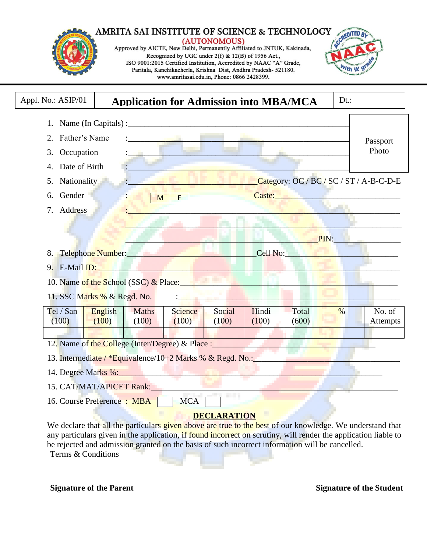#### AMRITA SAI INSTITUTE OF SCIENCE & TECHNOLOGY (AUTONOMOUS)<br>Approved by AICTE, New Delhi, Permanently Affiliated to JNTUK, Kakinada, Recognized by UGC under 2(f) & 12(B) of 1956 Act., ISO 9001:2015 Certified Institution, Accredited by NAAC "A" Grade, Paritala, Kanchikacherla, Krishna Dist, Andhra Pradesh- 521180. "th 'A www.amritasai.edu.in, Phone: 0866 2428399.

|                     |                                                                                                                                                                                                                                | <b>Application for Admission into MBA/MCA</b> |                    |                |                                                                                                                                                                                                                                | $Dt.$ : |                    |
|---------------------|--------------------------------------------------------------------------------------------------------------------------------------------------------------------------------------------------------------------------------|-----------------------------------------------|--------------------|----------------|--------------------------------------------------------------------------------------------------------------------------------------------------------------------------------------------------------------------------------|---------|--------------------|
|                     | 1. Name (In Capitals) : $\frac{1}{2}$ (In Capitals) :                                                                                                                                                                          |                                               |                    |                |                                                                                                                                                                                                                                |         |                    |
| Father's Name<br>2. |                                                                                                                                                                                                                                |                                               |                    |                |                                                                                                                                                                                                                                |         | Passport           |
| Occupation<br>3.    |                                                                                                                                                                                                                                |                                               |                    |                |                                                                                                                                                                                                                                |         | Photo              |
| Date of Birth       |                                                                                                                                                                                                                                |                                               |                    |                |                                                                                                                                                                                                                                |         |                    |
| 5. Nationality      |                                                                                                                                                                                                                                |                                               |                    |                | Category: OC / BC / SC / ST / A-B-C-D-E                                                                                                                                                                                        |         |                    |
| Gender<br>6.        |                                                                                                                                                                                                                                | M<br><b>Expertise</b>                         |                    |                | Caste: Electric Caster and Caster and Caster and Caster and Caster and Caster and Caster and Caster and Caster                                                                                                                 |         |                    |
| 7. Address          |                                                                                                                                                                                                                                |                                               |                    |                |                                                                                                                                                                                                                                |         |                    |
|                     |                                                                                                                                                                                                                                |                                               |                    |                |                                                                                                                                                                                                                                |         |                    |
|                     |                                                                                                                                                                                                                                |                                               |                    |                | <u> PIN: I</u>                                                                                                                                                                                                                 |         |                    |
|                     | 8. Telephone Number: Entertainment and the state of the state of the state of the state of the state of the state of the state of the state of the state of the state of the state of the state of the state of the state of t |                                               |                    |                | Cell No: Note that the contract of the contract of the contract of the contract of the contract of the contract of the contract of the contract of the contract of the contract of the contract of the contract of the contrac |         |                    |
|                     | 9. E-Mail ID: New York Street, and the Contract of the Contract of the Contract of the Contract of the Contract of the Contract of the Contract of the Contract of the Contract of the Contract of the Contract of the Contrac |                                               |                    |                |                                                                                                                                                                                                                                |         |                    |
|                     | 10. Name of the School (SSC) & Place:                                                                                                                                                                                          |                                               |                    |                |                                                                                                                                                                                                                                |         |                    |
|                     | 11. SSC Marks % & Regd. No.                                                                                                                                                                                                    |                                               |                    |                |                                                                                                                                                                                                                                |         |                    |
| Tel / San           |                                                                                                                                                                                                                                |                                               |                    |                |                                                                                                                                                                                                                                |         |                    |
|                     | English<br><b>Maths</b>                                                                                                                                                                                                        | <b>Science</b><br>(100)                       | Social<br>(100)    | Hindi<br>(100) | Total<br>(600)                                                                                                                                                                                                                 | $\%$    | No. of<br>Attempts |
|                     |                                                                                                                                                                                                                                |                                               |                    |                |                                                                                                                                                                                                                                |         |                    |
| (100)               | (100)<br>(100)                                                                                                                                                                                                                 |                                               |                    |                |                                                                                                                                                                                                                                |         |                    |
|                     | 12. Name of the College (Inter/Degree) & Place :                                                                                                                                                                               |                                               |                    |                |                                                                                                                                                                                                                                |         |                    |
|                     | 13. Intermediate / *Equivalence/10+2 Marks % & Regd. No.:                                                                                                                                                                      |                                               |                    |                |                                                                                                                                                                                                                                |         |                    |
|                     |                                                                                                                                                                                                                                |                                               |                    |                |                                                                                                                                                                                                                                |         |                    |
|                     | 14. Degree Marks %:<br>15. CAT/MAT/APICET Rank:                                                                                                                                                                                |                                               |                    |                |                                                                                                                                                                                                                                |         |                    |
|                     | 16. Course Preference : MBA MCA                                                                                                                                                                                                |                                               |                    |                |                                                                                                                                                                                                                                |         |                    |
|                     |                                                                                                                                                                                                                                |                                               | <b>DECLARATION</b> |                |                                                                                                                                                                                                                                |         |                    |

**Signature of the Parent Signature of the Student Signature of the Student**